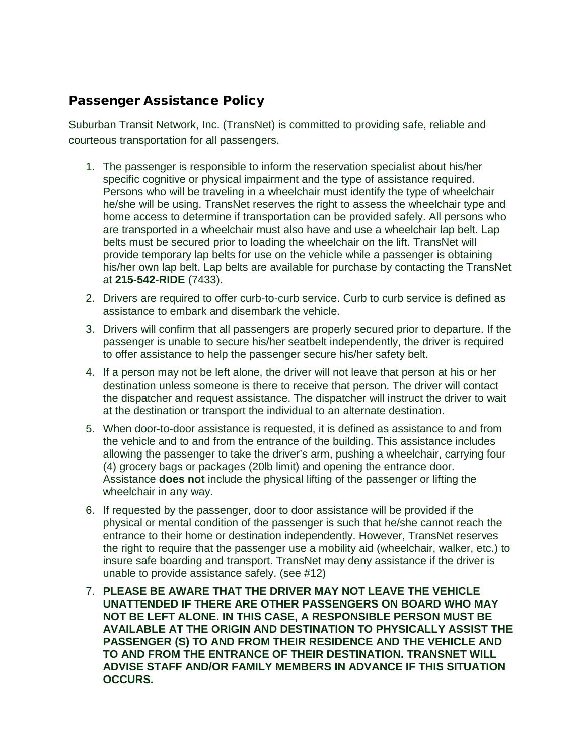## Passenger Assistance Policy

Suburban Transit Network, Inc. (TransNet) is committed to providing safe, reliable and courteous transportation for all passengers.

- 1. The passenger is responsible to inform the reservation specialist about his/her specific cognitive or physical impairment and the type of assistance required. Persons who will be traveling in a wheelchair must identify the type of wheelchair he/she will be using. TransNet reserves the right to assess the wheelchair type and home access to determine if transportation can be provided safely. All persons who are transported in a wheelchair must also have and use a wheelchair lap belt. Lap belts must be secured prior to loading the wheelchair on the lift. TransNet will provide temporary lap belts for use on the vehicle while a passenger is obtaining his/her own lap belt. Lap belts are available for purchase by contacting the TransNet at **215-542-RIDE** (7433).
- 2. Drivers are required to offer curb-to-curb service. Curb to curb service is defined as assistance to embark and disembark the vehicle.
- 3. Drivers will confirm that all passengers are properly secured prior to departure. If the passenger is unable to secure his/her seatbelt independently, the driver is required to offer assistance to help the passenger secure his/her safety belt.
- 4. If a person may not be left alone, the driver will not leave that person at his or her destination unless someone is there to receive that person. The driver will contact the dispatcher and request assistance. The dispatcher will instruct the driver to wait at the destination or transport the individual to an alternate destination.
- 5. When door-to-door assistance is requested, it is defined as assistance to and from the vehicle and to and from the entrance of the building. This assistance includes allowing the passenger to take the driver's arm, pushing a wheelchair, carrying four (4) grocery bags or packages (20lb limit) and opening the entrance door. Assistance **does not** include the physical lifting of the passenger or lifting the wheelchair in any way.
- 6. If requested by the passenger, door to door assistance will be provided if the physical or mental condition of the passenger is such that he/she cannot reach the entrance to their home or destination independently. However, TransNet reserves the right to require that the passenger use a mobility aid (wheelchair, walker, etc.) to insure safe boarding and transport. TransNet may deny assistance if the driver is unable to provide assistance safely. (see #12)
- 7. **PLEASE BE AWARE THAT THE DRIVER MAY NOT LEAVE THE VEHICLE UNATTENDED IF THERE ARE OTHER PASSENGERS ON BOARD WHO MAY NOT BE LEFT ALONE. IN THIS CASE, A RESPONSIBLE PERSON MUST BE AVAILABLE AT THE ORIGIN AND DESTINATION TO PHYSICALLY ASSIST THE PASSENGER (S) TO AND FROM THEIR RESIDENCE AND THE VEHICLE AND TO AND FROM THE ENTRANCE OF THEIR DESTINATION. TRANSNET WILL ADVISE STAFF AND/OR FAMILY MEMBERS IN ADVANCE IF THIS SITUATION OCCURS.**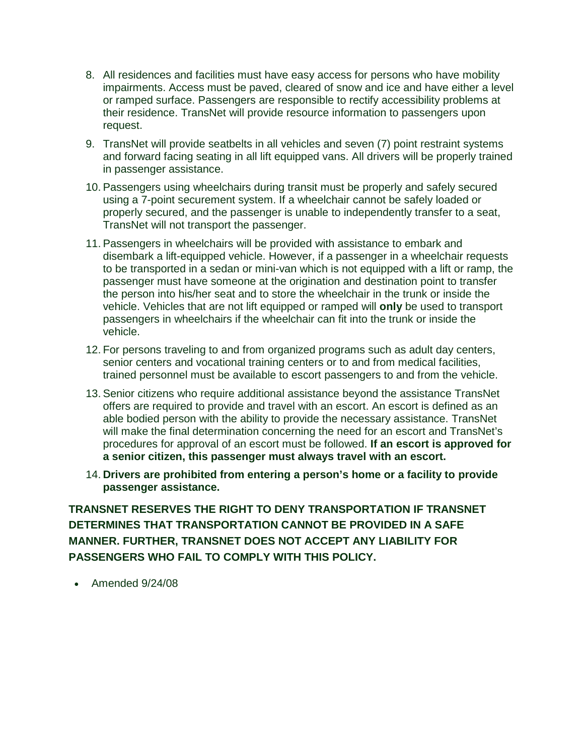- 8. All residences and facilities must have easy access for persons who have mobility impairments. Access must be paved, cleared of snow and ice and have either a level or ramped surface. Passengers are responsible to rectify accessibility problems at their residence. TransNet will provide resource information to passengers upon request.
- 9. TransNet will provide seatbelts in all vehicles and seven (7) point restraint systems and forward facing seating in all lift equipped vans. All drivers will be properly trained in passenger assistance.
- 10. Passengers using wheelchairs during transit must be properly and safely secured using a 7-point securement system. If a wheelchair cannot be safely loaded or properly secured, and the passenger is unable to independently transfer to a seat, TransNet will not transport the passenger.
- 11. Passengers in wheelchairs will be provided with assistance to embark and disembark a lift-equipped vehicle. However, if a passenger in a wheelchair requests to be transported in a sedan or mini-van which is not equipped with a lift or ramp, the passenger must have someone at the origination and destination point to transfer the person into his/her seat and to store the wheelchair in the trunk or inside the vehicle. Vehicles that are not lift equipped or ramped will **only** be used to transport passengers in wheelchairs if the wheelchair can fit into the trunk or inside the vehicle.
- 12. For persons traveling to and from organized programs such as adult day centers, senior centers and vocational training centers or to and from medical facilities, trained personnel must be available to escort passengers to and from the vehicle.
- 13. Senior citizens who require additional assistance beyond the assistance TransNet offers are required to provide and travel with an escort. An escort is defined as an able bodied person with the ability to provide the necessary assistance. TransNet will make the final determination concerning the need for an escort and TransNet's procedures for approval of an escort must be followed. **If an escort is approved for a senior citizen, this passenger must always travel with an escort.**
- 14. **Drivers are prohibited from entering a person's home or a facility to provide passenger assistance.**

**TRANSNET RESERVES THE RIGHT TO DENY TRANSPORTATION IF TRANSNET DETERMINES THAT TRANSPORTATION CANNOT BE PROVIDED IN A SAFE MANNER. FURTHER, TRANSNET DOES NOT ACCEPT ANY LIABILITY FOR PASSENGERS WHO FAIL TO COMPLY WITH THIS POLICY.**

• Amended 9/24/08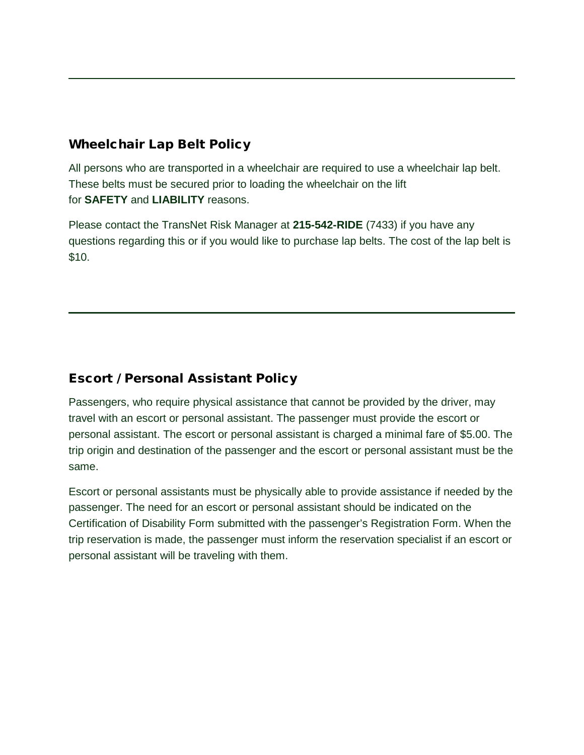## Wheelchair Lap Belt Policy

All persons who are transported in a wheelchair are required to use a wheelchair lap belt. These belts must be secured prior to loading the wheelchair on the lift for **SAFETY** and **LIABILITY** reasons.

Please contact the TransNet Risk Manager at **215-542-RIDE** (7433) if you have any questions regarding this or if you would like to purchase lap belts. The cost of the lap belt is \$10.

## Escort / Personal Assistant Policy

Passengers, who require physical assistance that cannot be provided by the driver, may travel with an escort or personal assistant. The passenger must provide the escort or personal assistant. The escort or personal assistant is charged a minimal fare of \$5.00. The trip origin and destination of the passenger and the escort or personal assistant must be the same.

Escort or personal assistants must be physically able to provide assistance if needed by the passenger. The need for an escort or personal assistant should be indicated on the Certification of Disability Form submitted with the passenger's Registration Form. When the trip reservation is made, the passenger must inform the reservation specialist if an escort or personal assistant will be traveling with them.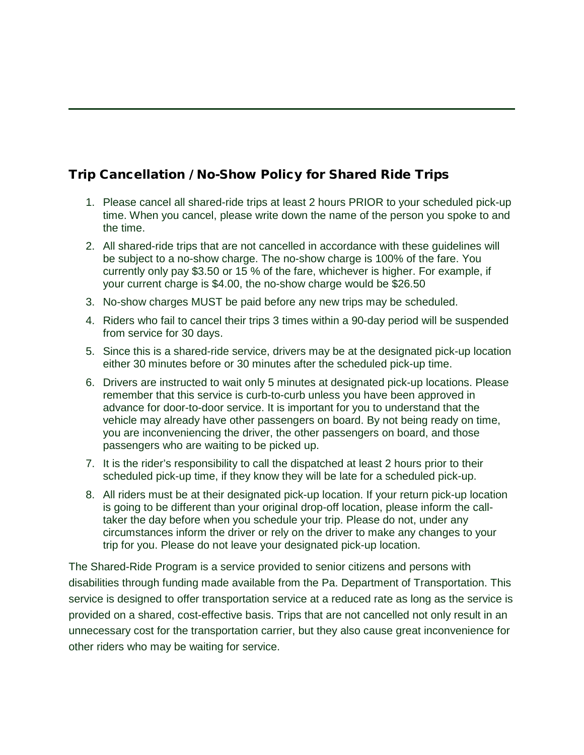# Trip Cancellation / No-Show Policy for Shared Ride Trips

- 1. Please cancel all shared-ride trips at least 2 hours PRIOR to your scheduled pick-up time. When you cancel, please write down the name of the person you spoke to and the time.
- 2. All shared-ride trips that are not cancelled in accordance with these guidelines will be subject to a no-show charge. The no-show charge is 100% of the fare. You currently only pay \$3.50 or 15 % of the fare, whichever is higher. For example, if your current charge is \$4.00, the no-show charge would be \$26.50
- 3. No-show charges MUST be paid before any new trips may be scheduled.
- 4. Riders who fail to cancel their trips 3 times within a 90-day period will be suspended from service for 30 days.
- 5. Since this is a shared-ride service, drivers may be at the designated pick-up location either 30 minutes before or 30 minutes after the scheduled pick-up time.
- 6. Drivers are instructed to wait only 5 minutes at designated pick-up locations. Please remember that this service is curb-to-curb unless you have been approved in advance for door-to-door service. It is important for you to understand that the vehicle may already have other passengers on board. By not being ready on time, you are inconveniencing the driver, the other passengers on board, and those passengers who are waiting to be picked up.
- 7. It is the rider's responsibility to call the dispatched at least 2 hours prior to their scheduled pick-up time, if they know they will be late for a scheduled pick-up.
- 8. All riders must be at their designated pick-up location. If your return pick-up location is going to be different than your original drop-off location, please inform the calltaker the day before when you schedule your trip. Please do not, under any circumstances inform the driver or rely on the driver to make any changes to your trip for you. Please do not leave your designated pick-up location.

The Shared-Ride Program is a service provided to senior citizens and persons with disabilities through funding made available from the Pa. Department of Transportation. This service is designed to offer transportation service at a reduced rate as long as the service is provided on a shared, cost-effective basis. Trips that are not cancelled not only result in an unnecessary cost for the transportation carrier, but they also cause great inconvenience for other riders who may be waiting for service.